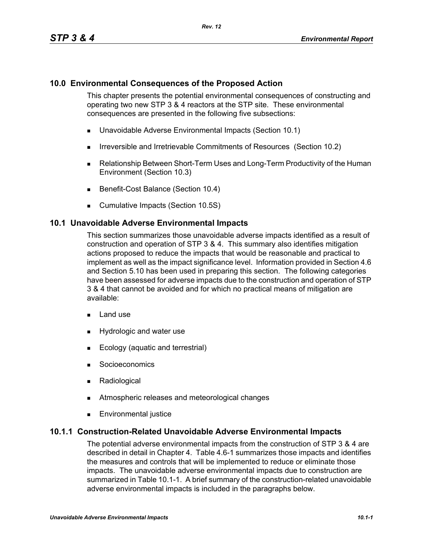## **10.0 Environmental Consequences of the Proposed Action**

This chapter presents the potential environmental consequences of constructing and operating two new STP 3 & 4 reactors at the STP site. These environmental consequences are presented in the following five subsections:

- Unavoidable Adverse Environmental Impacts (Section 10.1)
- **IFIRE 19.5 Irreversible and Irretrievable Commitments of Resources (Section 10.2)**
- Relationship Between Short-Term Uses and Long-Term Productivity of the Human Environment (Section 10.3)
- Benefit-Cost Balance (Section 10.4)
- **Cumulative Impacts (Section 10.5S)**

### **10.1 Unavoidable Adverse Environmental Impacts**

This section summarizes those unavoidable adverse impacts identified as a result of construction and operation of STP 3 & 4. This summary also identifies mitigation actions proposed to reduce the impacts that would be reasonable and practical to implement as well as the impact significance level. Information provided in Section 4.6 and Section 5.10 has been used in preparing this section. The following categories have been assessed for adverse impacts due to the construction and operation of STP 3 & 4 that cannot be avoided and for which no practical means of mitigation are available:

- $\blacksquare$  Land use
- **Hydrologic and water use**
- **Ecology (aquatic and terrestrial)**
- **Socioeconomics**
- **Radiological**
- **EXECUTE:** Atmospheric releases and meteorological changes
- **Environmental justice**

### **10.1.1 Construction-Related Unavoidable Adverse Environmental Impacts**

The potential adverse environmental impacts from the construction of STP 3 & 4 are described in detail in Chapter 4. Table 4.6-1 summarizes those impacts and identifies the measures and controls that will be implemented to reduce or eliminate those impacts. The unavoidable adverse environmental impacts due to construction are summarized in Table 10.1-1. A brief summary of the construction-related unavoidable adverse environmental impacts is included in the paragraphs below.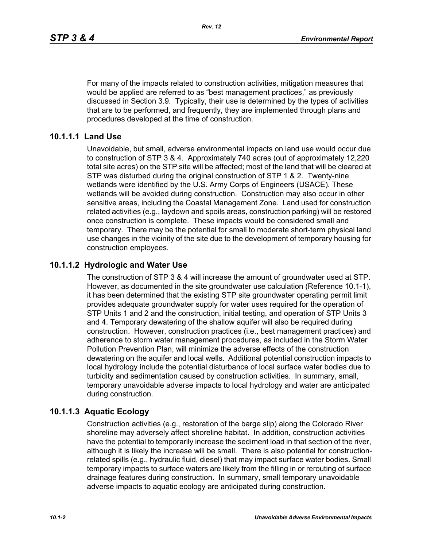For many of the impacts related to construction activities, mitigation measures that would be applied are referred to as "best management practices," as previously discussed in Section 3.9. Typically, their use is determined by the types of activities that are to be performed, and frequently, they are implemented through plans and procedures developed at the time of construction.

## **10.1.1.1 Land Use**

Unavoidable, but small, adverse environmental impacts on land use would occur due to construction of STP 3 & 4. Approximately 740 acres (out of approximately 12,220 total site acres) on the STP site will be affected; most of the land that will be cleared at STP was disturbed during the original construction of STP 1 & 2. Twenty-nine wetlands were identified by the U.S. Army Corps of Engineers (USACE). These wetlands will be avoided during construction. Construction may also occur in other sensitive areas, including the Coastal Management Zone. Land used for construction related activities (e.g., laydown and spoils areas, construction parking) will be restored once construction is complete. These impacts would be considered small and temporary. There may be the potential for small to moderate short-term physical land use changes in the vicinity of the site due to the development of temporary housing for construction employees.

# **10.1.1.2 Hydrologic and Water Use**

The construction of STP 3 & 4 will increase the amount of groundwater used at STP. However, as documented in the site groundwater use calculation (Reference 10.1-1), it has been determined that the existing STP site groundwater operating permit limit provides adequate groundwater supply for water uses required for the operation of STP Units 1 and 2 and the construction, initial testing, and operation of STP Units 3 and 4. Temporary dewatering of the shallow aquifer will also be required during construction. However, construction practices (i.e., best management practices) and adherence to storm water management procedures, as included in the Storm Water Pollution Prevention Plan, will minimize the adverse effects of the construction dewatering on the aquifer and local wells. Additional potential construction impacts to local hydrology include the potential disturbance of local surface water bodies due to turbidity and sedimentation caused by construction activities. In summary, small, temporary unavoidable adverse impacts to local hydrology and water are anticipated during construction.

# **10.1.1.3 Aquatic Ecology**

Construction activities (e.g., restoration of the barge slip) along the Colorado River shoreline may adversely affect shoreline habitat. In addition, construction activities have the potential to temporarily increase the sediment load in that section of the river, although it is likely the increase will be small. There is also potential for constructionrelated spills (e.g., hydraulic fluid, diesel) that may impact surface water bodies. Small temporary impacts to surface waters are likely from the filling in or rerouting of surface drainage features during construction. In summary, small temporary unavoidable adverse impacts to aquatic ecology are anticipated during construction.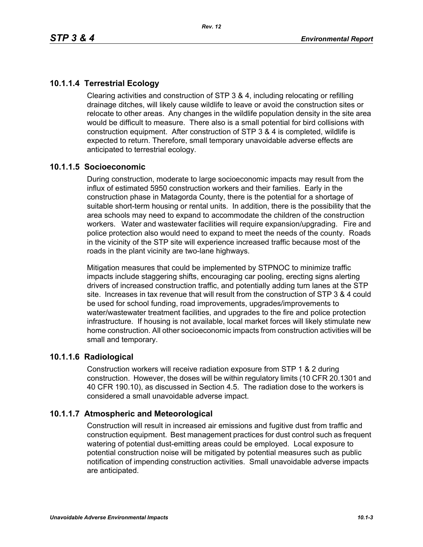# **10.1.1.4 Terrestrial Ecology**

Clearing activities and construction of STP 3 & 4, including relocating or refilling drainage ditches, will likely cause wildlife to leave or avoid the construction sites or relocate to other areas. Any changes in the wildlife population density in the site area would be difficult to measure. There also is a small potential for bird collisions with construction equipment. After construction of STP 3 & 4 is completed, wildlife is expected to return. Therefore, small temporary unavoidable adverse effects are anticipated to terrestrial ecology.

## **10.1.1.5 Socioeconomic**

During construction, moderate to large socioeconomic impacts may result from the influx of estimated 5950 construction workers and their families. Early in the construction phase in Matagorda County, there is the potential for a shortage of suitable short-term housing or rental units. In addition, there is the possibility that the area schools may need to expand to accommodate the children of the construction workers. Water and wastewater facilities will require expansion/upgrading. Fire and police protection also would need to expand to meet the needs of the county. Roads in the vicinity of the STP site will experience increased traffic because most of the roads in the plant vicinity are two-lane highways.

Mitigation measures that could be implemented by STPNOC to minimize traffic impacts include staggering shifts, encouraging car pooling, erecting signs alerting drivers of increased construction traffic, and potentially adding turn lanes at the STP site. Increases in tax revenue that will result from the construction of STP 3 & 4 could be used for school funding, road improvements, upgrades/improvements to water/wastewater treatment facilities, and upgrades to the fire and police protection infrastructure. If housing is not available, local market forces will likely stimulate new home construction. All other socioeconomic impacts from construction activities will be small and temporary.

### **10.1.1.6 Radiological**

Construction workers will receive radiation exposure from STP 1 & 2 during construction. However, the doses will be within regulatory limits (10 CFR 20.1301 and 40 CFR 190.10), as discussed in Section 4.5. The radiation dose to the workers is considered a small unavoidable adverse impact.

# **10.1.1.7 Atmospheric and Meteorological**

Construction will result in increased air emissions and fugitive dust from traffic and construction equipment. Best management practices for dust control such as frequent watering of potential dust-emitting areas could be employed. Local exposure to potential construction noise will be mitigated by potential measures such as public notification of impending construction activities. Small unavoidable adverse impacts are anticipated.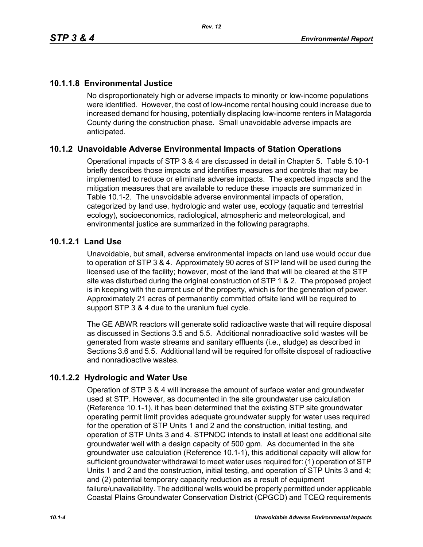# **10.1.1.8 Environmental Justice**

No disproportionately high or adverse impacts to minority or low-income populations were identified. However, the cost of low-income rental housing could increase due to increased demand for housing, potentially displacing low-income renters in Matagorda County during the construction phase. Small unavoidable adverse impacts are anticipated.

# **10.1.2 Unavoidable Adverse Environmental Impacts of Station Operations**

Operational impacts of STP 3 & 4 are discussed in detail in Chapter 5. Table 5.10-1 briefly describes those impacts and identifies measures and controls that may be implemented to reduce or eliminate adverse impacts. The expected impacts and the mitigation measures that are available to reduce these impacts are summarized in Table 10.1-2. The unavoidable adverse environmental impacts of operation, categorized by land use, hydrologic and water use, ecology (aquatic and terrestrial ecology), socioeconomics, radiological, atmospheric and meteorological, and environmental justice are summarized in the following paragraphs.

## **10.1.2.1 Land Use**

Unavoidable, but small, adverse environmental impacts on land use would occur due to operation of STP 3 & 4. Approximately 90 acres of STP land will be used during the licensed use of the facility; however, most of the land that will be cleared at the STP site was disturbed during the original construction of STP 1 & 2. The proposed project is in keeping with the current use of the property, which is for the generation of power. Approximately 21 acres of permanently committed offsite land will be required to support STP 3 & 4 due to the uranium fuel cycle.

The GE ABWR reactors will generate solid radioactive waste that will require disposal as discussed in Sections 3.5 and 5.5. Additional nonradioactive solid wastes will be generated from waste streams and sanitary effluents (i.e., sludge) as described in Sections 3.6 and 5.5. Additional land will be required for offsite disposal of radioactive and nonradioactive wastes.

# **10.1.2.2 Hydrologic and Water Use**

Operation of STP 3 & 4 will increase the amount of surface water and groundwater used at STP. However, as documented in the site groundwater use calculation (Reference 10.1-1), it has been determined that the existing STP site groundwater operating permit limit provides adequate groundwater supply for water uses required for the operation of STP Units 1 and 2 and the construction, initial testing, and operation of STP Units 3 and 4. STPNOC intends to install at least one additional site groundwater well with a design capacity of 500 gpm. As documented in the site groundwater use calculation (Reference 10.1-1), this additional capacity will allow for sufficient groundwater withdrawal to meet water uses required for: (1) operation of STP Units 1 and 2 and the construction, initial testing, and operation of STP Units 3 and 4; and (2) potential temporary capacity reduction as a result of equipment failure/unavailability. The additional wells would be properly permitted under applicable Coastal Plains Groundwater Conservation District (CPGCD) and TCEQ requirements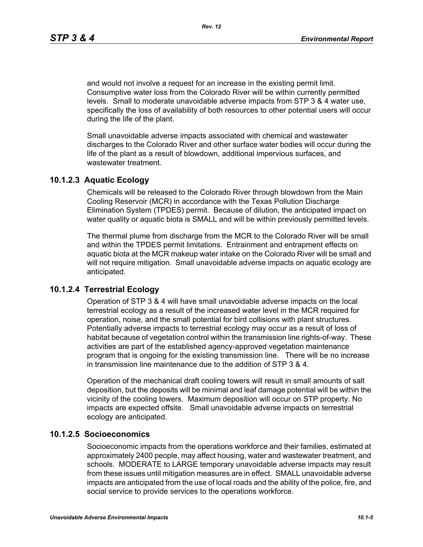and would not involve a request for an increase in the existing permit limit. Consumptive water loss from the Colorado River will be within currently permitted levels. Small to moderate unavoidable adverse impacts from STP 3 & 4 water use, specifically the loss of availability of both resources to other potential users will occur during the life of the plant.

Small unavoidable adverse impacts associated with chemical and wastewater discharges to the Colorado River and other surface water bodies will occur during the life of the plant as a result of blowdown, additional impervious surfaces, and wastewater treatment.

### **10.1.2.3 Aquatic Ecology**

Chemicals will be released to the Colorado River through blowdown from the Main Cooling Reservoir (MCR) in accordance with the Texas Pollution Discharge Elimination System (TPDES) permit. Because of dilution, the anticipated impact on water quality or aquatic biota is SMALL and will be within previously permitted levels.

The thermal plume from discharge from the MCR to the Colorado River will be small and within the TPDES permit limitations. Entrainment and entrapment effects on aquatic biota at the MCR makeup water intake on the Colorado River will be small and will not require mitigation. Small unavoidable adverse impacts on aquatic ecology are anticipated.

### **10.1.2.4 Terrestrial Ecology**

Operation of STP 3 & 4 will have small unavoidable adverse impacts on the local terrestrial ecology as a result of the increased water level in the MCR required for operation, noise, and the small potential for bird collisions with plant structures. Potentially adverse impacts to terrestrial ecology may occur as a result of loss of habitat because of vegetation control within the transmission line rights-of-way. These activities are part of the established agency-approved vegetation maintenance program that is ongoing for the existing transmission line. There will be no increase in transmission line maintenance due to the addition of STP 3 & 4.

Operation of the mechanical draft cooling towers will result in small amounts of salt deposition, but the deposits will be minimal and leaf damage potential will be within the vicinity of the cooling towers. Maximum deposition will occur on STP property. No impacts are expected offsite. Small unavoidable adverse impacts on terrestrial ecology are anticipated.

#### **10.1.2.5 Socioeconomics**

Socioeconomic impacts from the operations workforce and their families, estimated at approximately 2400 people, may affect housing, water and wastewater treatment, and schools. MODERATE to LARGE temporary unavoidable adverse impacts may result from these issues until mitigation measures are in effect. SMALL unavoidable adverse impacts are anticipated from the use of local roads and the ability of the police, fire, and social service to provide services to the operations workforce.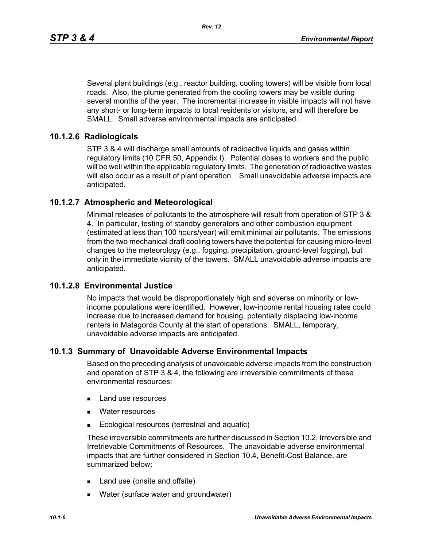Several plant buildings (e.g., reactor building, cooling towers) will be visible from local roads. Also, the plume generated from the cooling towers may be visible during several months of the year. The incremental increase in visible impacts will not have any short- or long-term impacts to local residents or visitors, and will therefore be SMALL. Small adverse environmental impacts are anticipated.

# **10.1.2.6 Radiologicals**

STP 3 & 4 will discharge small amounts of radioactive liquids and gases within regulatory limits (10 CFR 50, Appendix I). Potential doses to workers and the public will be well within the applicable regulatory limits. The generation of radioactive wastes will also occur as a result of plant operation. Small unavoidable adverse impacts are anticipated.

# **10.1.2.7 Atmospheric and Meteorological**

Minimal releases of pollutants to the atmosphere will result from operation of STP 3 & 4. In particular, testing of standby generators and other combustion equipment (estimated at less than 100 hours/year) will emit minimal air pollutants. The emissions from the two mechanical draft cooling towers have the potential for causing micro-level changes to the meteorology (e.g., fogging, precipitation, ground-level fogging), but only in the immediate vicinity of the towers. SMALL unavoidable adverse impacts are anticipated.

# **10.1.2.8 Environmental Justice**

No impacts that would be disproportionately high and adverse on minority or lowincome populations were identified. However, low-income rental housing rates could increase due to increased demand for housing, potentially displacing low-income renters in Matagorda County at the start of operations. SMALL, temporary, unavoidable adverse impacts are anticipated.

# **10.1.3 Summary of Unavoidable Adverse Environmental Impacts**

Based on the preceding analysis of unavoidable adverse impacts from the construction and operation of STP 3 & 4, the following are irreversible commitments of these environmental resources:

- **Land use resources**
- **Nater resources**
- **Ecological resources (terrestrial and aquatic)**

These irreversible commitments are further discussed in Section 10.2, Irreversible and Irretrievable Commitments of Resources. The unavoidable adverse environmental impacts that are further considered in Section 10.4, Benefit-Cost Balance, are summarized below:

- Land use (onsite and offsite)
- **Nater (surface water and groundwater)**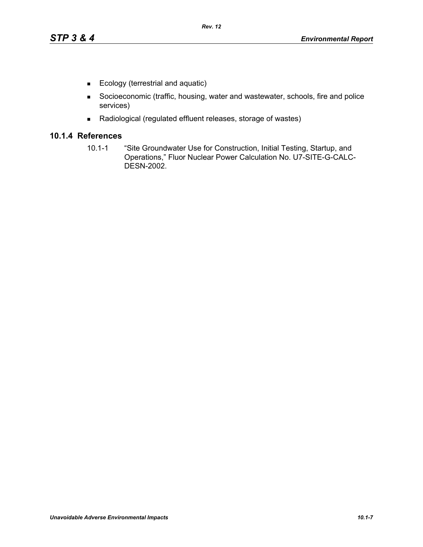- Ecology (terrestrial and aquatic)
- Socioeconomic (traffic, housing, water and wastewater, schools, fire and police services)
- Radiological (regulated effluent releases, storage of wastes)

### **10.1.4 References**

10.1-1 "Site Groundwater Use for Construction, Initial Testing, Startup, and Operations," Fluor Nuclear Power Calculation No. U7-SITE-G-CALC-DESN-2002.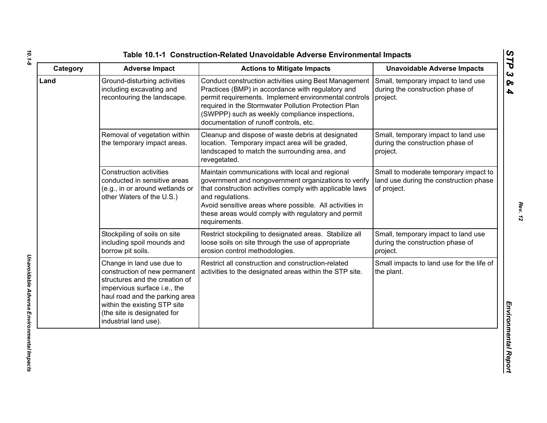| Category | <b>Adverse Impact</b>                                                                                                                                                                                                                                  | <b>Actions to Mitigate Impacts</b>                                                                                                                                                                                                                                                                                         | <b>Unavoidable Adverse Impacts</b>                                                             |
|----------|--------------------------------------------------------------------------------------------------------------------------------------------------------------------------------------------------------------------------------------------------------|----------------------------------------------------------------------------------------------------------------------------------------------------------------------------------------------------------------------------------------------------------------------------------------------------------------------------|------------------------------------------------------------------------------------------------|
| Land     | Ground-disturbing activities<br>including excavating and<br>recontouring the landscape.                                                                                                                                                                | Conduct construction activities using Best Management<br>Practices (BMP) in accordance with regulatory and<br>permit requirements. Implement environmental controls<br>required in the Stormwater Pollution Protection Plan<br>(SWPPP) such as weekly compliance inspections,<br>documentation of runoff controls, etc.    | Small, temporary impact to land use<br>during the construction phase of<br>project.            |
|          | Removal of vegetation within<br>the temporary impact areas.                                                                                                                                                                                            | Cleanup and dispose of waste debris at designated<br>location. Temporary impact area will be graded,<br>landscaped to match the surrounding area, and<br>revegetated.                                                                                                                                                      | Small, temporary impact to land use<br>during the construction phase of<br>project.            |
|          | <b>Construction activities</b><br>conducted in sensitive areas<br>(e.g., in or around wetlands or<br>other Waters of the U.S.)                                                                                                                         | Maintain communications with local and regional<br>government and nongovernment organizations to verify<br>that construction activities comply with applicable laws<br>and regulations.<br>Avoid sensitive areas where possible. All activities in<br>these areas would comply with regulatory and permit<br>requirements. | Small to moderate temporary impact to<br>land use during the construction phase<br>of project. |
|          | Stockpiling of soils on site<br>including spoil mounds and<br>borrow pit soils.                                                                                                                                                                        | Restrict stockpiling to designated areas. Stabilize all<br>loose soils on site through the use of appropriate<br>erosion control methodologies.                                                                                                                                                                            | Small, temporary impact to land use<br>during the construction phase of<br>project.            |
|          | Change in land use due to<br>construction of new permanent<br>structures and the creation of<br>impervious surface i.e., the<br>haul road and the parking area<br>within the existing STP site<br>(the site is designated for<br>industrial land use). | Restrict all construction and construction-related<br>activities to the designated areas within the STP site.                                                                                                                                                                                                              | Small impacts to land use for the life of<br>the plant.                                        |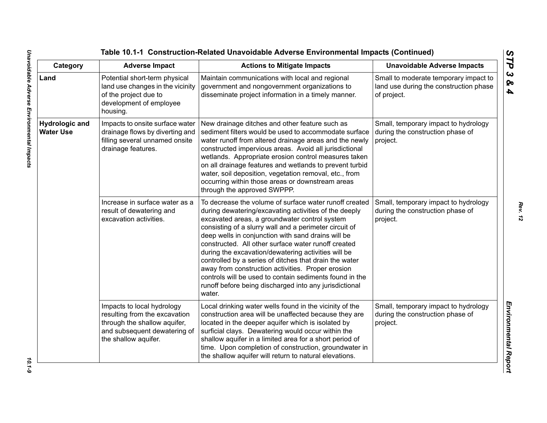| Category                                  | <b>Adverse Impact</b>                                                                                                                               | <b>Actions to Mitigate Impacts</b>                                                                                                                                                                                                                                                                                                                                                                                                                                                                                                                                                                                                           | <b>Unavoidable Adverse Impacts</b>                                                             |
|-------------------------------------------|-----------------------------------------------------------------------------------------------------------------------------------------------------|----------------------------------------------------------------------------------------------------------------------------------------------------------------------------------------------------------------------------------------------------------------------------------------------------------------------------------------------------------------------------------------------------------------------------------------------------------------------------------------------------------------------------------------------------------------------------------------------------------------------------------------------|------------------------------------------------------------------------------------------------|
| Land                                      | Potential short-term physical<br>land use changes in the vicinity<br>of the project due to<br>development of employee<br>housing.                   | Maintain communications with local and regional<br>government and nongovernment organizations to<br>disseminate project information in a timely manner.                                                                                                                                                                                                                                                                                                                                                                                                                                                                                      | Small to moderate temporary impact to<br>land use during the construction phase<br>of project. |
| <b>Hydrologic and</b><br><b>Water Use</b> | Impacts to onsite surface water<br>drainage flows by diverting and<br>filling several unnamed onsite<br>drainage features.                          | New drainage ditches and other feature such as<br>sediment filters would be used to accommodate surface<br>water runoff from altered drainage areas and the newly<br>constructed impervious areas. Avoid all jurisdictional<br>wetlands. Appropriate erosion control measures taken<br>on all drainage features and wetlands to prevent turbid<br>water, soil deposition, vegetation removal, etc., from<br>occurring within those areas or downstream areas<br>through the approved SWPPP.                                                                                                                                                  | Small, temporary impact to hydrology<br>during the construction phase of<br>project.           |
|                                           | Increase in surface water as a<br>result of dewatering and<br>excavation activities.                                                                | To decrease the volume of surface water runoff created<br>during dewatering/excavating activities of the deeply<br>excavated areas, a groundwater control system<br>consisting of a slurry wall and a perimeter circuit of<br>deep wells in conjunction with sand drains will be<br>constructed. All other surface water runoff created<br>during the excavation/dewatering activities will be<br>controlled by a series of ditches that drain the water<br>away from construction activities. Proper erosion<br>controls will be used to contain sediments found in the<br>runoff before being discharged into any jurisdictional<br>water. | Small, temporary impact to hydrology<br>during the construction phase of<br>project.           |
|                                           | Impacts to local hydrology<br>resulting from the excavation<br>through the shallow aquifer,<br>and subsequent dewatering of<br>the shallow aquifer. | Local drinking water wells found in the vicinity of the<br>construction area will be unaffected because they are<br>located in the deeper aquifer which is isolated by<br>surficial clays. Dewatering would occur within the<br>shallow aquifer in a limited area for a short period of<br>time. Upon completion of construction, groundwater in<br>the shallow aquifer will return to natural elevations.                                                                                                                                                                                                                                   | Small, temporary impact to hydrology<br>during the construction phase of<br>project.           |

 $10.1 - 9$ 

*Rev. 12*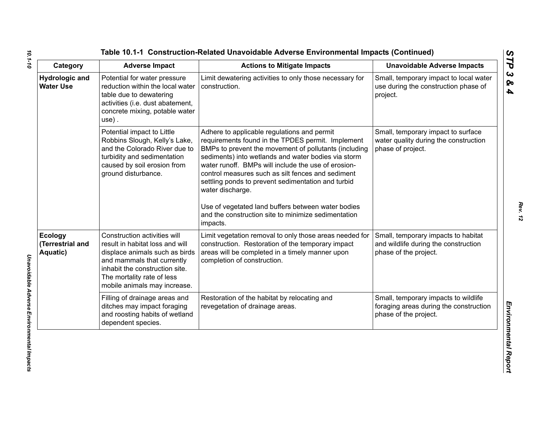| Category                                       | <b>Adverse Impact</b>                                                                                                                                                                                                           | <b>Actions to Mitigate Impacts</b>                                                                                                                                                                                                                                                                                                                                                                                                                                                                                              | <b>Unavoidable Adverse Impacts</b>                                                                      |
|------------------------------------------------|---------------------------------------------------------------------------------------------------------------------------------------------------------------------------------------------------------------------------------|---------------------------------------------------------------------------------------------------------------------------------------------------------------------------------------------------------------------------------------------------------------------------------------------------------------------------------------------------------------------------------------------------------------------------------------------------------------------------------------------------------------------------------|---------------------------------------------------------------------------------------------------------|
| <b>Hydrologic and</b><br><b>Water Use</b>      | Potential for water pressure<br>reduction within the local water<br>table due to dewatering<br>activities (i.e. dust abatement,<br>concrete mixing, potable water<br>$use)$ .                                                   | Limit dewatering activities to only those necessary for<br>construction.                                                                                                                                                                                                                                                                                                                                                                                                                                                        | Small, temporary impact to local water<br>use during the construction phase of<br>project.              |
|                                                | Potential impact to Little<br>Robbins Slough, Kelly's Lake,<br>and the Colorado River due to<br>turbidity and sedimentation<br>caused by soil erosion from<br>ground disturbance.                                               | Adhere to applicable regulations and permit<br>requirements found in the TPDES permit. Implement<br>BMPs to prevent the movement of pollutants (including<br>sediments) into wetlands and water bodies via storm<br>water runoff. BMPs will include the use of erosion-<br>control measures such as silt fences and sediment<br>settling ponds to prevent sedimentation and turbid<br>water discharge.<br>Use of vegetated land buffers between water bodies<br>and the construction site to minimize sedimentation<br>impacts. | Small, temporary impact to surface<br>water quality during the construction<br>phase of project.        |
| <b>Ecology</b><br>(Terrestrial and<br>Aquatic) | Construction activities will<br>result in habitat loss and will<br>displace animals such as birds<br>and mammals that currently<br>inhabit the construction site.<br>The mortality rate of less<br>mobile animals may increase. | Limit vegetation removal to only those areas needed for<br>construction. Restoration of the temporary impact<br>areas will be completed in a timely manner upon<br>completion of construction.                                                                                                                                                                                                                                                                                                                                  | Small, temporary impacts to habitat<br>and wildlife during the construction<br>phase of the project.    |
|                                                | Filling of drainage areas and<br>ditches may impact foraging<br>and roosting habits of wetland<br>dependent species.                                                                                                            | Restoration of the habitat by relocating and<br>revegetation of drainage areas.                                                                                                                                                                                                                                                                                                                                                                                                                                                 | Small, temporary impacts to wildlife<br>foraging areas during the construction<br>phase of the project. |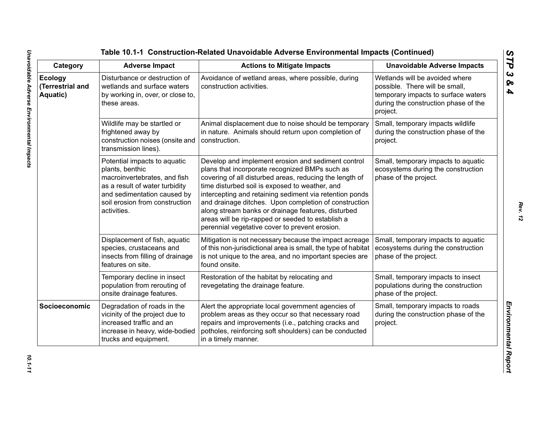| Category                                | <b>Adverse Impact</b>                                                                                                                                                                             | <b>Actions to Mitigate Impacts</b>                                                                                                                                                                                                                                                                                                                                                                                                                                                                 | <b>Unavoidable Adverse Impacts</b>                                                                                                                          |
|-----------------------------------------|---------------------------------------------------------------------------------------------------------------------------------------------------------------------------------------------------|----------------------------------------------------------------------------------------------------------------------------------------------------------------------------------------------------------------------------------------------------------------------------------------------------------------------------------------------------------------------------------------------------------------------------------------------------------------------------------------------------|-------------------------------------------------------------------------------------------------------------------------------------------------------------|
| Ecology<br>(Terrestrial and<br>Aquatic) | Disturbance or destruction of<br>wetlands and surface waters<br>by working in, over, or close to,<br>these areas.                                                                                 | Avoidance of wetland areas, where possible, during<br>construction activities.                                                                                                                                                                                                                                                                                                                                                                                                                     | Wetlands will be avoided where<br>possible. There will be small,<br>temporary impacts to surface waters<br>during the construction phase of the<br>project. |
|                                         | Wildlife may be startled or<br>frightened away by<br>construction noises (onsite and<br>transmission lines).                                                                                      | Animal displacement due to noise should be temporary<br>in nature. Animals should return upon completion of<br>construction.                                                                                                                                                                                                                                                                                                                                                                       | Small, temporary impacts wildlife<br>during the construction phase of the<br>project.                                                                       |
|                                         | Potential impacts to aquatic<br>plants, benthic<br>macroinvertebrates, and fish<br>as a result of water turbidity<br>and sedimentation caused by<br>soil erosion from construction<br>activities. | Develop and implement erosion and sediment control<br>plans that incorporate recognized BMPs such as<br>covering of all disturbed areas, reducing the length of<br>time disturbed soil is exposed to weather, and<br>intercepting and retaining sediment via retention ponds<br>and drainage ditches. Upon completion of construction<br>along stream banks or drainage features, disturbed<br>areas will be rip-rapped or seeded to establish a<br>perennial vegetative cover to prevent erosion. | Small, temporary impacts to aquatic<br>ecosystems during the construction<br>phase of the project.                                                          |
|                                         | Displacement of fish, aquatic<br>species, crustaceans and<br>insects from filling of drainage<br>features on site.                                                                                | Mitigation is not necessary because the impact acreage<br>of this non-jurisdictional area is small, the type of habitat<br>is not unique to the area, and no important species are<br>found onsite.                                                                                                                                                                                                                                                                                                | Small, temporary impacts to aquatic<br>ecosystems during the construction<br>phase of the project.                                                          |
|                                         | Temporary decline in insect<br>population from rerouting of<br>onsite drainage features.                                                                                                          | Restoration of the habitat by relocating and<br>revegetating the drainage feature.                                                                                                                                                                                                                                                                                                                                                                                                                 | Small, temporary impacts to insect<br>populations during the construction<br>phase of the project.                                                          |
| Socioeconomic                           | Degradation of roads in the<br>vicinity of the project due to<br>increased traffic and an<br>increase in heavy, wide-bodied<br>trucks and equipment.                                              | Alert the appropriate local government agencies of<br>problem areas as they occur so that necessary road<br>repairs and improvements (i.e., patching cracks and<br>potholes, reinforcing soft shoulders) can be conducted<br>in a timely manner.                                                                                                                                                                                                                                                   | Small, temporary impacts to roads<br>during the construction phase of the<br>project.                                                                       |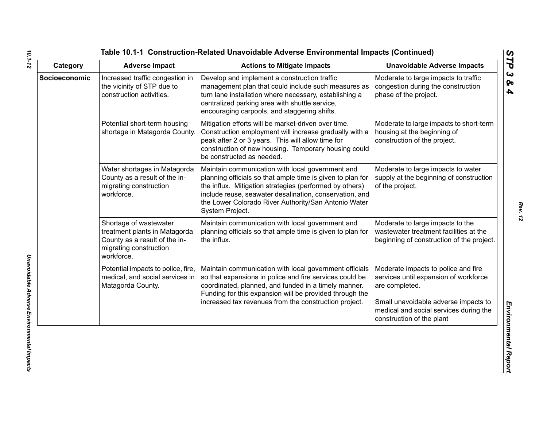| Category      | <b>Adverse Impact</b>                                                                                                            | <b>Actions to Mitigate Impacts</b>                                                                                                                                                                                                                                                                              | <b>Unavoidable Adverse Impacts</b>                                                                                                                                                                            |
|---------------|----------------------------------------------------------------------------------------------------------------------------------|-----------------------------------------------------------------------------------------------------------------------------------------------------------------------------------------------------------------------------------------------------------------------------------------------------------------|---------------------------------------------------------------------------------------------------------------------------------------------------------------------------------------------------------------|
| Socioeconomic | Increased traffic congestion in<br>the vicinity of STP due to<br>construction activities.                                        | Develop and implement a construction traffic<br>management plan that could include such measures as<br>turn lane installation where necessary, establishing a<br>centralized parking area with shuttle service,<br>encouraging carpools, and staggering shifts.                                                 | Moderate to large impacts to traffic<br>congestion during the construction<br>phase of the project.                                                                                                           |
|               | Potential short-term housing<br>shortage in Matagorda County.                                                                    | Mitigation efforts will be market-driven over time.<br>Construction employment will increase gradually with a<br>peak after 2 or 3 years. This will allow time for<br>construction of new housing. Temporary housing could<br>be constructed as needed.                                                         | Moderate to large impacts to short-term<br>housing at the beginning of<br>construction of the project.                                                                                                        |
|               | Water shortages in Matagorda<br>County as a result of the in-<br>migrating construction<br>workforce.                            | Maintain communication with local government and<br>planning officials so that ample time is given to plan for<br>the influx. Mitigation strategies (performed by others)<br>include reuse, seawater desalination, conservation, and<br>the Lower Colorado River Authority/San Antonio Water<br>System Project. | Moderate to large impacts to water<br>supply at the beginning of construction<br>of the project.                                                                                                              |
|               | Shortage of wastewater<br>treatment plants in Matagorda<br>County as a result of the in-<br>migrating construction<br>workforce. | Maintain communication with local government and<br>planning officials so that ample time is given to plan for<br>the influx.                                                                                                                                                                                   | Moderate to large impacts to the<br>wastewater treatment facilities at the<br>beginning of construction of the project.                                                                                       |
|               | Potential impacts to police, fire,<br>medical, and social services in<br>Matagorda County.                                       | Maintain communication with local government officials<br>so that expansions in police and fire services could be<br>coordinated, planned, and funded in a timely manner.<br>Funding for this expansion will be provided through the<br>increased tax revenues from the construction project.                   | Moderate impacts to police and fire<br>services until expansion of workforce<br>are completed.<br>Small unavoidable adverse impacts to<br>medical and social services during the<br>construction of the plant |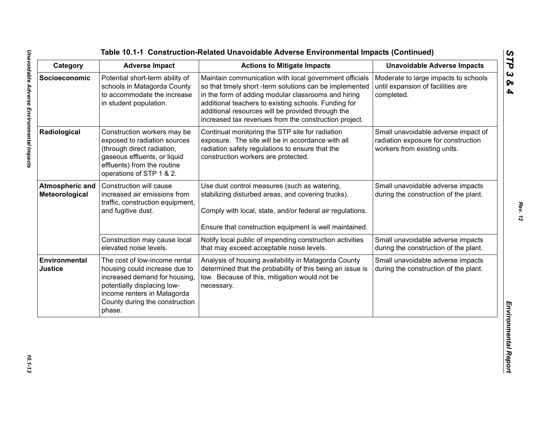| Category                                 | <b>Adverse Impact</b>                                                                                                                                                                                     | <b>Actions to Mitigate Impacts</b>                                                                                                                                                                                                                                                                                                             | <b>Unavoidable Adverse Impacts</b>                                                                         |
|------------------------------------------|-----------------------------------------------------------------------------------------------------------------------------------------------------------------------------------------------------------|------------------------------------------------------------------------------------------------------------------------------------------------------------------------------------------------------------------------------------------------------------------------------------------------------------------------------------------------|------------------------------------------------------------------------------------------------------------|
| Socioeconomic                            | Potential short-term ability of<br>schools in Matagorda County<br>to accommodate the increase<br>in student population.                                                                                   | Maintain communication with local government officials<br>so that timely short -term solutions can be implemented<br>in the form of adding modular classrooms and hiring<br>additional teachers to existing schools. Funding for<br>additional resources will be provided through the<br>increased tax revenues from the construction project. | Moderate to large impacts to schools<br>until expansion of facilities are<br>completed.                    |
| Radiological                             | Construction workers may be<br>exposed to radiation sources<br>(through direct radiation,<br>gaseous effluents, or liquid<br>effluents) from the routine<br>operations of STP 1 & 2.                      | Continual monitoring the STP site for radiation<br>exposure. The site will be in accordance with all<br>radiation safety regulations to ensure that the<br>construction workers are protected.                                                                                                                                                 | Small unavoidable adverse impact of<br>radiation exposure for construction<br>workers from existing units. |
| <b>Atmospheric and</b><br>Meteorological | Construction will cause<br>increased air emissions from<br>traffic, construction equipment,<br>and fugitive dust.                                                                                         | Use dust control measures (such as watering,<br>stabilizing disturbed areas, and covering trucks).<br>Comply with local, state, and/or federal air regulations.<br>Ensure that construction equipment is well maintained.                                                                                                                      | Small unavoidable adverse impacts<br>during the construction of the plant.                                 |
|                                          | Construction may cause local<br>elevated noise levels.                                                                                                                                                    | Notify local public of impending construction activities<br>that may exceed acceptable noise levels.                                                                                                                                                                                                                                           | Small unavoidable adverse impacts<br>during the construction of the plant.                                 |
| Environmental<br><b>Justice</b>          | The cost of low-income rental<br>housing could increase due to<br>increased demand for housing,<br>potentially displacing low-<br>income renters in Matagorda<br>County during the construction<br>phase. | Analysis of housing availability in Matagorda County<br>determined that the probability of this being an issue is<br>low. Because of this, mitigation would not be<br>necessary.                                                                                                                                                               | Small unavoidable adverse impacts<br>during the construction of the plant.                                 |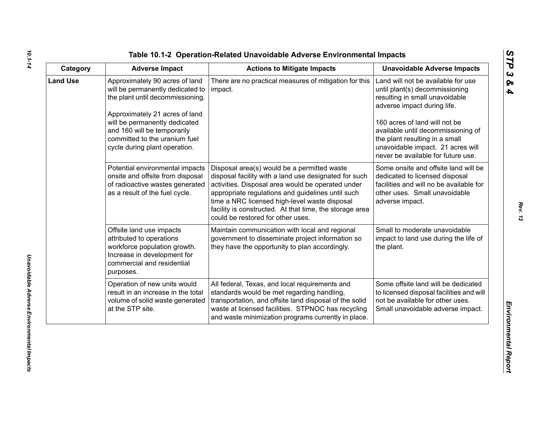| ທ |
|---|
|   |
| C |
| ట |
| ∞ |
| 4 |

| Category        | <b>Adverse Impact</b>                                                                                                                                                                                                                                                      | <b>Actions to Mitigate Impacts</b>                                                                                                                                                                                                                                                                                                                              | <b>Unavoidable Adverse Impacts</b>                                                                                                                                                                                                                                                                                        |
|-----------------|----------------------------------------------------------------------------------------------------------------------------------------------------------------------------------------------------------------------------------------------------------------------------|-----------------------------------------------------------------------------------------------------------------------------------------------------------------------------------------------------------------------------------------------------------------------------------------------------------------------------------------------------------------|---------------------------------------------------------------------------------------------------------------------------------------------------------------------------------------------------------------------------------------------------------------------------------------------------------------------------|
| <b>Land Use</b> | Approximately 90 acres of land<br>will be permanently dedicated to<br>the plant until decommissioning.<br>Approximately 21 acres of land<br>will be permanently dedicated<br>and 160 will be temporarily<br>committed to the uranium fuel<br>cycle during plant operation. | There are no practical measures of mitigation for this<br>impact.                                                                                                                                                                                                                                                                                               | Land will not be available for use<br>until plant(s) decommissioning<br>resulting in small unavoidable<br>adverse impact during life.<br>160 acres of land will not be<br>available until decommissioning of<br>the plant resulting in a small<br>unavoidable impact. 21 acres will<br>never be available for future use. |
|                 | Potential environmental impacts<br>onsite and offsite from disposal<br>of radioactive wastes generated<br>as a result of the fuel cycle.                                                                                                                                   | Disposal area(s) would be a permitted waste<br>disposal facility with a land use designated for such<br>activities. Disposal area would be operated under<br>appropriate regulations and guidelines until such<br>time a NRC licensed high-level waste disposal<br>facility is constructed. At that time, the storage area<br>could be restored for other uses. | Some onsite and offsite land will be<br>dedicated to licensed disposal<br>facilities and will no be available for<br>other uses. Small unavoidable<br>adverse impact.                                                                                                                                                     |
|                 | Offsite land use impacts<br>attributed to operations<br>workforce population growth.<br>Increase in development for<br>commercial and residential<br>purposes.                                                                                                             | Maintain communication with local and regional<br>government to disseminate project information so<br>they have the opportunity to plan accordingly.                                                                                                                                                                                                            | Small to moderate unavoidable<br>impact to land use during the life of<br>the plant.                                                                                                                                                                                                                                      |
|                 | Operation of new units would<br>result in an increase in the total<br>volume of solid waste generated<br>at the STP site.                                                                                                                                                  | All federal, Texas, and local requirements and<br>standards would be met regarding handling,<br>transportation, and offsite land disposal of the solid<br>waste at licensed facilities. STPNOC has recycling<br>and waste minimization programs currently in place.                                                                                             | Some offsite land will be dedicated<br>to licensed disposal facilities and will<br>not be available for other uses.<br>Small unavoidable adverse impact.                                                                                                                                                                  |

*10.1-14*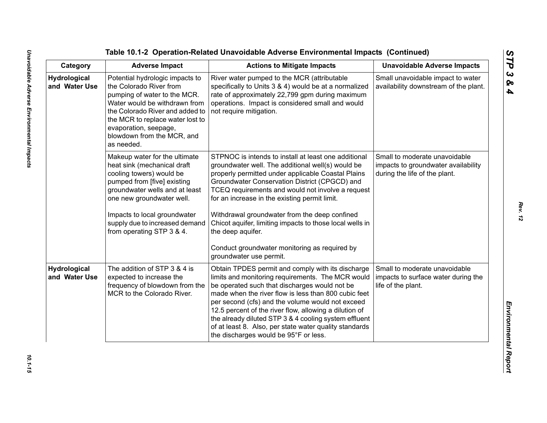Table 10.1-2 Operation-Related Unavoidable Adverse Emplore<br>
Category Adverse Impact<br>
Category Adverse Impact<br>
Marchard Involved Marcha Constant Action to Miligate Impacts<br>
Marchard Involved Marcha Constant Constant Constan

*Rev. 12*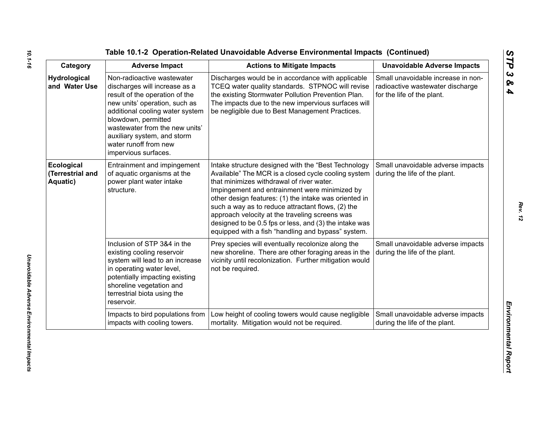| Category                                   | <b>Adverse Impact</b>                                                                                                                                                                                                                                                                                      | <b>Actions to Mitigate Impacts</b>                                                                                                                                                                                                                                                                                                                                                                                                                                                       | <b>Unavoidable Adverse Impacts</b>                                                                   |
|--------------------------------------------|------------------------------------------------------------------------------------------------------------------------------------------------------------------------------------------------------------------------------------------------------------------------------------------------------------|------------------------------------------------------------------------------------------------------------------------------------------------------------------------------------------------------------------------------------------------------------------------------------------------------------------------------------------------------------------------------------------------------------------------------------------------------------------------------------------|------------------------------------------------------------------------------------------------------|
| <b>Hydrological</b><br>and Water Use       | Non-radioactive wastewater<br>discharges will increase as a<br>result of the operation of the<br>new units' operation, such as<br>additional cooling water system<br>blowdown, permitted<br>wastewater from the new units'<br>auxiliary system, and storm<br>water runoff from new<br>impervious surfaces. | Discharges would be in accordance with applicable<br>TCEQ water quality standards. STPNOC will revise<br>the existing Stormwater Pollution Prevention Plan.<br>The impacts due to the new impervious surfaces will<br>be negligible due to Best Management Practices.                                                                                                                                                                                                                    | Small unavoidable increase in non-<br>radioactive wastewater discharge<br>for the life of the plant. |
| Ecological<br>(Terrestrial and<br>Aquatic) | Entrainment and impingement<br>of aquatic organisms at the<br>power plant water intake<br>structure.                                                                                                                                                                                                       | Intake structure designed with the "Best Technology<br>Available" The MCR is a closed cycle cooling system<br>that minimizes withdrawal of river water.<br>Impingement and entrainment were minimized by<br>other design features: (1) the intake was oriented in<br>such a way as to reduce attractant flows, (2) the<br>approach velocity at the traveling screens was<br>designed to be 0.5 fps or less, and (3) the intake was<br>equipped with a fish "handling and bypass" system. | Small unavoidable adverse impacts<br>during the life of the plant.                                   |
|                                            | Inclusion of STP 3&4 in the<br>existing cooling reservoir<br>system will lead to an increase<br>in operating water level,<br>potentially impacting existing<br>shoreline vegetation and<br>terrestrial biota using the<br>reservoir.                                                                       | Prey species will eventually recolonize along the<br>new shoreline. There are other foraging areas in the<br>vicinity until recolonization. Further mitigation would<br>not be required.                                                                                                                                                                                                                                                                                                 | Small unavoidable adverse impacts<br>during the life of the plant.                                   |
|                                            | Impacts to bird populations from<br>impacts with cooling towers.                                                                                                                                                                                                                                           | Low height of cooling towers would cause negligible<br>mortality. Mitigation would not be required.                                                                                                                                                                                                                                                                                                                                                                                      | Small unavoidable adverse impacts<br>during the life of the plant.                                   |

*STP 3 & 4*

Unavoidable Adverse Environmental Impacts *Unavoidable Adverse Environmental Impacts*